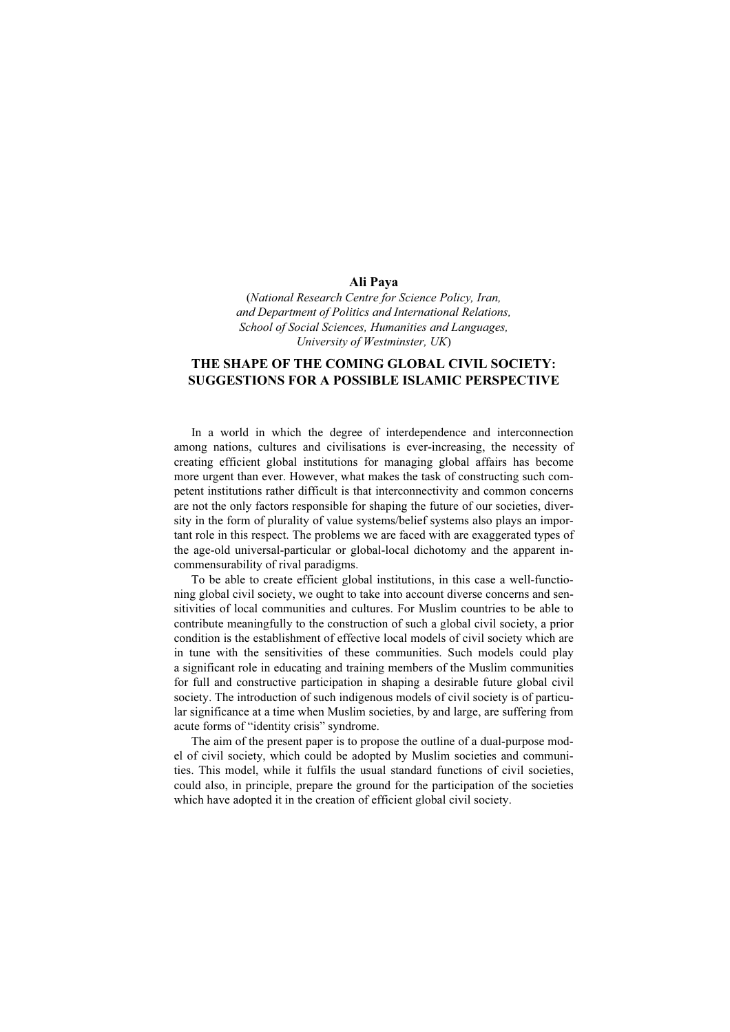### Ali Paya

(National Research Centre for Science Policy, Iran, and Department of Politics and International Relations, School of Social Sciences, Humanities and Languages, University of Westminster, UK)

# THE SHAPE OF THE COMING GLOBAL CIVIL SOCIETY: SUGGESTIONS FOR A POSSIBLE ISLAMIC PERSPECTIVE

In a world in which the degree of interdependence and interconnection among nations, cultures and civilisations is ever-increasing, the necessity of creating efficient global institutions for managing global affairs has become more urgent than ever. However, what makes the task of constructing such competent institutions rather difficult is that interconnectivity and common concerns are not the only factors responsible for shaping the future of our societies, diversity in the form of plurality of value systems/belief systems also plays an important role in this respect. The problems we are faced with are exaggerated types of the age-old universal-particular or global-local dichotomy and the apparent incommensurability of rival paradigms.

To be able to create efficient global institutions, in this case a well-functioning global civil society, we ought to take into account diverse concerns and sensitivities of local communities and cultures. For Muslim countries to be able to contribute meaningfully to the construction of such a global civil society, a prior condition is the establishment of effective local models of civil society which are in tune with the sensitivities of these communities. Such models could play a significant role in educating and training members of the Muslim communities for full and constructive participation in shaping a desirable future global civil society. The introduction of such indigenous models of civil society is of particular significance at a time when Muslim societies, by and large, are suffering from acute forms of "identity crisis" syndrome.

The aim of the present paper is to propose the outline of a dual-purpose model of civil society, which could be adopted by Muslim societies and communities. This model, while it fulfils the usual standard functions of civil societies, could also, in principle, prepare the ground for the participation of the societies which have adopted it in the creation of efficient global civil society.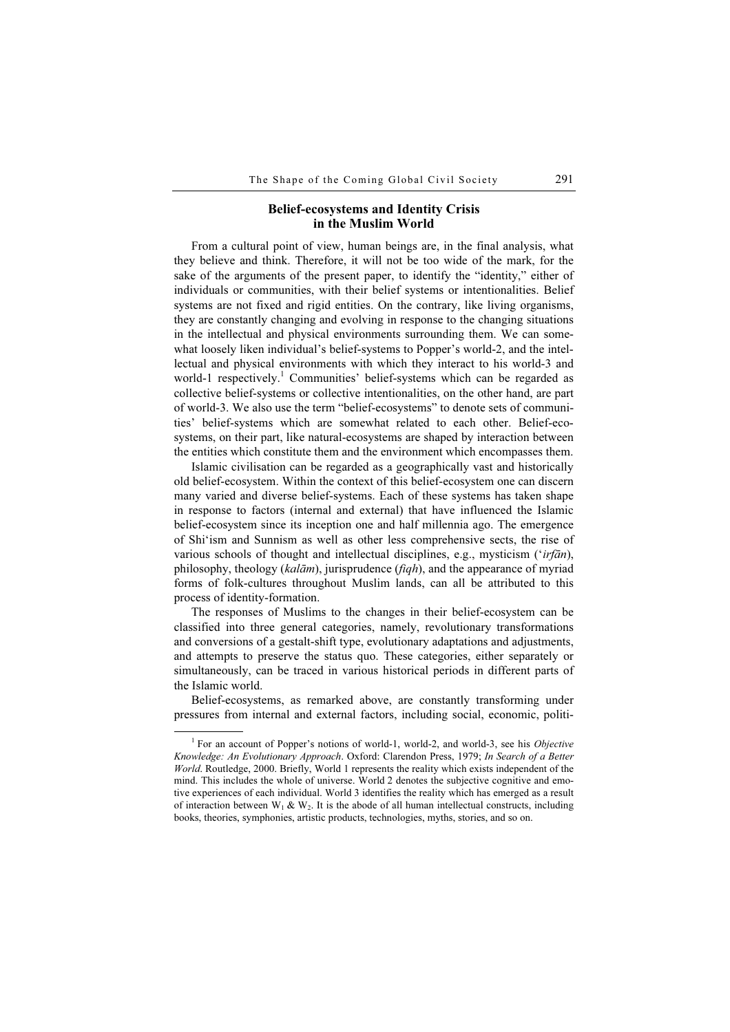### Belief-ecosystems and Identity Crisis in the Muslim World

From a cultural point of view, human beings are, in the final analysis, what they believe and think. Therefore, it will not be too wide of the mark, for the sake of the arguments of the present paper, to identify the "identity," either of individuals or communities, with their belief systems or intentionalities. Belief systems are not fixed and rigid entities. On the contrary, like living organisms, they are constantly changing and evolving in response to the changing situations in the intellectual and physical environments surrounding them. We can somewhat loosely liken individual's belief-systems to Popper's world-2, and the intellectual and physical environments with which they interact to his world-3 and world-1 respectively.<sup>1</sup> Communities' belief-systems which can be regarded as collective belief-systems or collective intentionalities, on the other hand, are part of world-3. We also use the term "belief-ecosystems" to denote sets of communities' belief-systems which are somewhat related to each other. Belief-ecosystems, on their part, like natural-ecosystems are shaped by interaction between the entities which constitute them and the environment which encompasses them.

Islamic civilisation can be regarded as a geographically vast and historically old belief-ecosystem. Within the context of this belief-ecosystem one can discern many varied and diverse belief-systems. Each of these systems has taken shape in response to factors (internal and external) that have influenced the Islamic belief-ecosystem since its inception one and half millennia ago. The emergence of Shiʻism and Sunnism as well as other less comprehensive sects, the rise of various schools of thought and intellectual disciplines, e.g., mysticism ('irfān), philosophy, theology ( $kal\bar{a}m$ ), jurisprudence ( $fiqh$ ), and the appearance of myriad forms of folk-cultures throughout Muslim lands, can all be attributed to this process of identity-formation.

The responses of Muslims to the changes in their belief-ecosystem can be classified into three general categories, namely, revolutionary transformations and conversions of a gestalt-shift type, evolutionary adaptations and adjustments, and attempts to preserve the status quo. These categories, either separately or simultaneously, can be traced in various historical periods in different parts of the Islamic world.

Belief-ecosystems, as remarked above, are constantly transforming under pressures from internal and external factors, including social, economic, politi-

 $\frac{1}{1}$ <sup>1</sup> For an account of Popper's notions of world-1, world-2, and world-3, see his *Objective* Knowledge: An Evolutionary Approach. Oxford: Clarendon Press, 1979; In Search of a Better World. Routledge, 2000. Briefly, World 1 represents the reality which exists independent of the mind. This includes the whole of universe. World 2 denotes the subjective cognitive and emotive experiences of each individual. World 3 identifies the reality which has emerged as a result of interaction between  $W_1 \& W_2$ . It is the abode of all human intellectual constructs, including books, theories, symphonies, artistic products, technologies, myths, stories, and so on.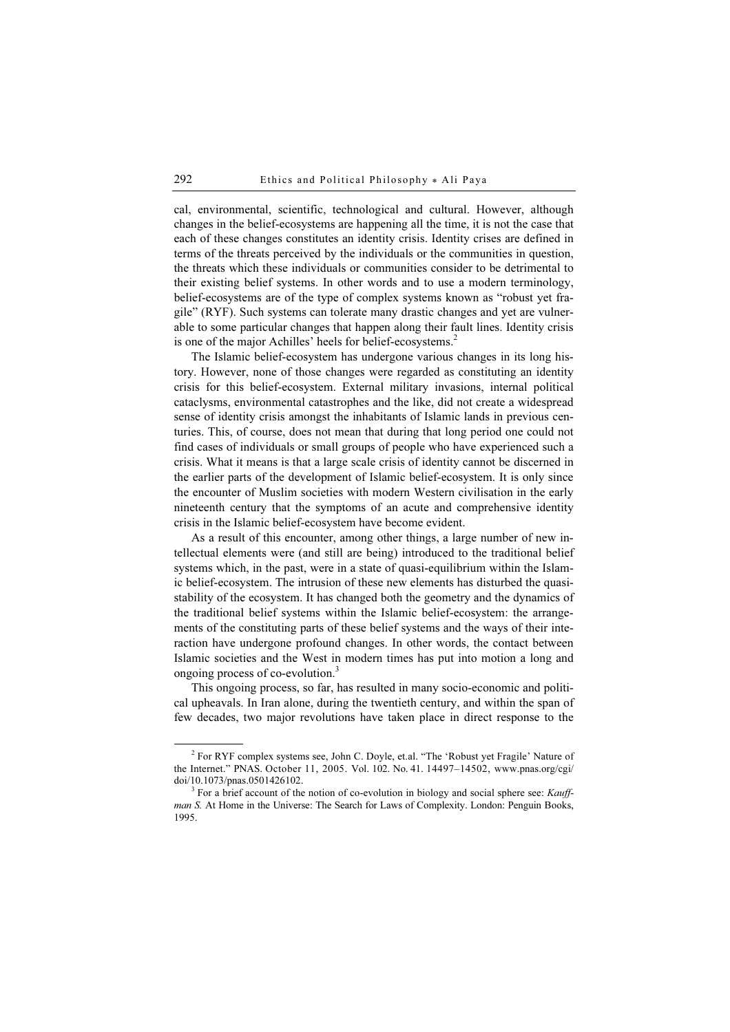cal, environmental, scientific, technological and cultural. However, although changes in the belief-ecosystems are happening all the time, it is not the case that each of these changes constitutes an identity crisis. Identity crises are defined in terms of the threats perceived by the individuals or the communities in question, the threats which these individuals or communities consider to be detrimental to their existing belief systems. In other words and to use a modern terminology, belief-ecosystems are of the type of complex systems known as "robust yet fragile" (RYF). Such systems can tolerate many drastic changes and yet are vulnerable to some particular changes that happen along their fault lines. Identity crisis is one of the major Achilles' heels for belief-ecosystems.<sup>2</sup>

The Islamic belief-ecosystem has undergone various changes in its long history. However, none of those changes were regarded as constituting an identity crisis for this belief-ecosystem. External military invasions, internal political cataclysms, environmental catastrophes and the like, did not create a widespread sense of identity crisis amongst the inhabitants of Islamic lands in previous centuries. This, of course, does not mean that during that long period one could not find cases of individuals or small groups of people who have experienced such a crisis. What it means is that a large scale crisis of identity cannot be discerned in the earlier parts of the development of Islamic belief-ecosystem. It is only since the encounter of Muslim societies with modern Western civilisation in the early nineteenth century that the symptoms of an acute and comprehensive identity crisis in the Islamic belief-ecosystem have become evident.

As a result of this encounter, among other things, a large number of new intellectual elements were (and still are being) introduced to the traditional belief systems which, in the past, were in a state of quasi-equilibrium within the Islamic belief-ecosystem. The intrusion of these new elements has disturbed the quasistability of the ecosystem. It has changed both the geometry and the dynamics of the traditional belief systems within the Islamic belief-ecosystem: the arrangements of the constituting parts of these belief systems and the ways of their interaction have undergone profound changes. In other words, the contact between Islamic societies and the West in modern times has put into motion a long and ongoing process of co-evolution.<sup>3</sup>

This ongoing process, so far, has resulted in many socio-economic and political upheavals. In Iran alone, during the twentieth century, and within the span of few decades, two major revolutions have taken place in direct response to the

 $\frac{1}{2}$  $2$  For RYF complex systems see, John C. Doyle, et.al. "The 'Robust yet Fragile' Nature of the Internet." PNAS. October 11, 2005. Vol. 102. No. 41. 14497–14502, www.pnas.org/cgi/ doi/10.1073/pnas.0501426102. <sup>3</sup>

 $3$  For a brief account of the notion of co-evolution in biology and social sphere see: Kauffman S. At Home in the Universe: The Search for Laws of Complexity. London: Penguin Books, 1995.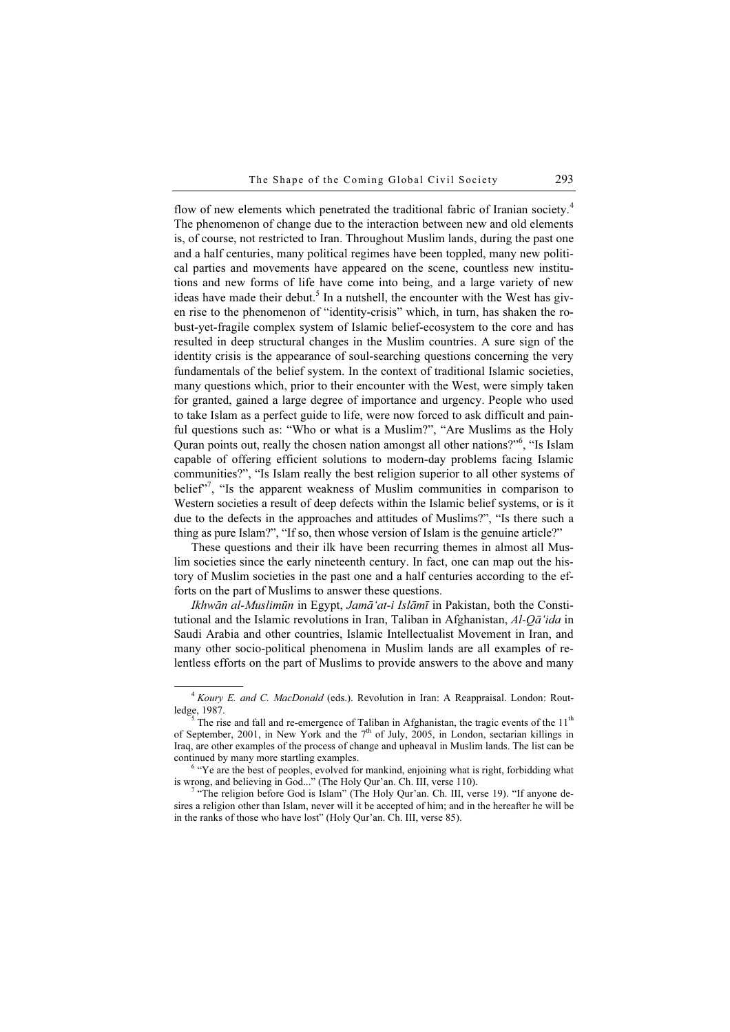flow of new elements which penetrated the traditional fabric of Iranian society.<sup>4</sup> The phenomenon of change due to the interaction between new and old elements is, of course, not restricted to Iran. Throughout Muslim lands, during the past one and a half centuries, many political regimes have been toppled, many new political parties and movements have appeared on the scene, countless new institutions and new forms of life have come into being, and a large variety of new ideas have made their debut.<sup>5</sup> In a nutshell, the encounter with the West has given rise to the phenomenon of "identity-crisis" which, in turn, has shaken the robust-yet-fragile complex system of Islamic belief-ecosystem to the core and has resulted in deep structural changes in the Muslim countries. A sure sign of the identity crisis is the appearance of soul-searching questions concerning the very fundamentals of the belief system. In the context of traditional Islamic societies, many questions which, prior to their encounter with the West, were simply taken for granted, gained a large degree of importance and urgency. People who used to take Islam as a perfect guide to life, were now forced to ask difficult and painful questions such as: "Who or what is a Muslim?", "Are Muslims as the Holy Quran points out, really the chosen nation amongst all other nations?"<sup>6</sup>, "Is Islam capable of offering efficient solutions to modern-day problems facing Islamic communities?", "Is Islam really the best religion superior to all other systems of belief"<sup>7</sup>, "Is the apparent weakness of Muslim communities in comparison to Western societies a result of deep defects within the Islamic belief systems, or is it due to the defects in the approaches and attitudes of Muslims?", "Is there such a thing as pure Islam?", "If so, then whose version of Islam is the genuine article?"

These questions and their ilk have been recurring themes in almost all Muslim societies since the early nineteenth century. In fact, one can map out the history of Muslim societies in the past one and a half centuries according to the efforts on the part of Muslims to answer these questions.

Ikhwān al-Muslimūn in Egypt, Jamā'at-i Islāmī in Pakistan, both the Constitutional and the Islamic revolutions in Iran, Taliban in Afghanistan, Al-Qā'ida in Saudi Arabia and other countries, Islamic Intellectualist Movement in Iran, and many other socio-political phenomena in Muslim lands are all examples of relentless efforts on the part of Muslims to provide answers to the above and many

<sup>&</sup>lt;sup>4</sup> Kourv E. and C. MacDonald (eds.). Revolution in Iran: A Reappraisal. London: Routledge, 1987.

The rise and fall and re-emergence of Taliban in Afghanistan, the tragic events of the  $11<sup>th</sup>$ of September, 2001, in New York and the  $7<sup>th</sup>$  of July, 2005, in London, sectarian killings in Iraq, are other examples of the process of change and upheaval in Muslim lands. The list can be continued by many more startling examples.

 $6$  "Ye are the best of peoples, evolved for mankind, enjoining what is right, forbidding what is wrong, and believing in God..." (The Holy Qur'an. Ch. III, verse 110). <sup>7</sup>

<sup>&</sup>lt;sup>7</sup> "The religion before God is Islam" (The Holy Our'an. Ch. III, verse 19). "If anyone desires a religion other than Islam, never will it be accepted of him; and in the hereafter he will be in the ranks of those who have lost" (Holy Qur'an. Ch. III, verse 85).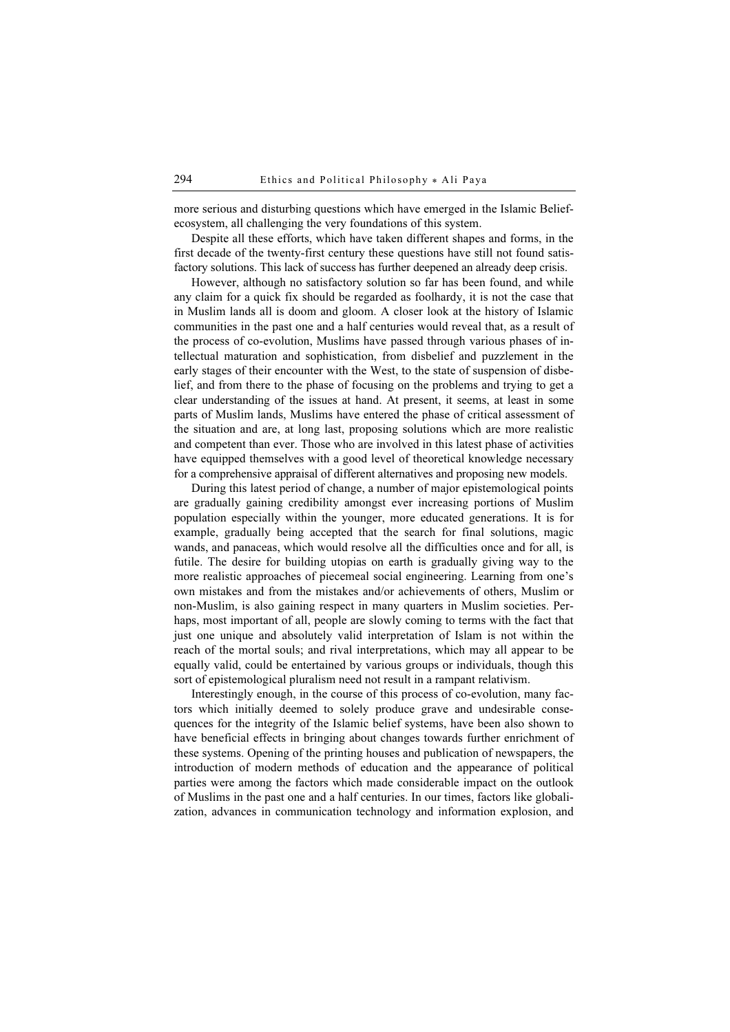more serious and disturbing questions which have emerged in the Islamic Beliefecosystem, all challenging the very foundations of this system.

Despite all these efforts, which have taken different shapes and forms, in the first decade of the twenty-first century these questions have still not found satisfactory solutions. This lack of success has further deepened an already deep crisis.

However, although no satisfactory solution so far has been found, and while any claim for a quick fix should be regarded as foolhardy, it is not the case that in Muslim lands all is doom and gloom. A closer look at the history of Islamic communities in the past one and a half centuries would reveal that, as a result of the process of co-evolution, Muslims have passed through various phases of intellectual maturation and sophistication, from disbelief and puzzlement in the early stages of their encounter with the West, to the state of suspension of disbelief, and from there to the phase of focusing on the problems and trying to get a clear understanding of the issues at hand. At present, it seems, at least in some parts of Muslim lands, Muslims have entered the phase of critical assessment of the situation and are, at long last, proposing solutions which are more realistic and competent than ever. Those who are involved in this latest phase of activities have equipped themselves with a good level of theoretical knowledge necessary for a comprehensive appraisal of different alternatives and proposing new models.

During this latest period of change, a number of major epistemological points are gradually gaining credibility amongst ever increasing portions of Muslim population especially within the younger, more educated generations. It is for example, gradually being accepted that the search for final solutions, magic wands, and panaceas, which would resolve all the difficulties once and for all, is futile. The desire for building utopias on earth is gradually giving way to the more realistic approaches of piecemeal social engineering. Learning from one's own mistakes and from the mistakes and/or achievements of others, Muslim or non-Muslim, is also gaining respect in many quarters in Muslim societies. Perhaps, most important of all, people are slowly coming to terms with the fact that just one unique and absolutely valid interpretation of Islam is not within the reach of the mortal souls; and rival interpretations, which may all appear to be equally valid, could be entertained by various groups or individuals, though this sort of epistemological pluralism need not result in a rampant relativism.

Interestingly enough, in the course of this process of co-evolution, many factors which initially deemed to solely produce grave and undesirable consequences for the integrity of the Islamic belief systems, have been also shown to have beneficial effects in bringing about changes towards further enrichment of these systems. Opening of the printing houses and publication of newspapers, the introduction of modern methods of education and the appearance of political parties were among the factors which made considerable impact on the outlook of Muslims in the past one and a half centuries. In our times, factors like globalization, advances in communication technology and information explosion, and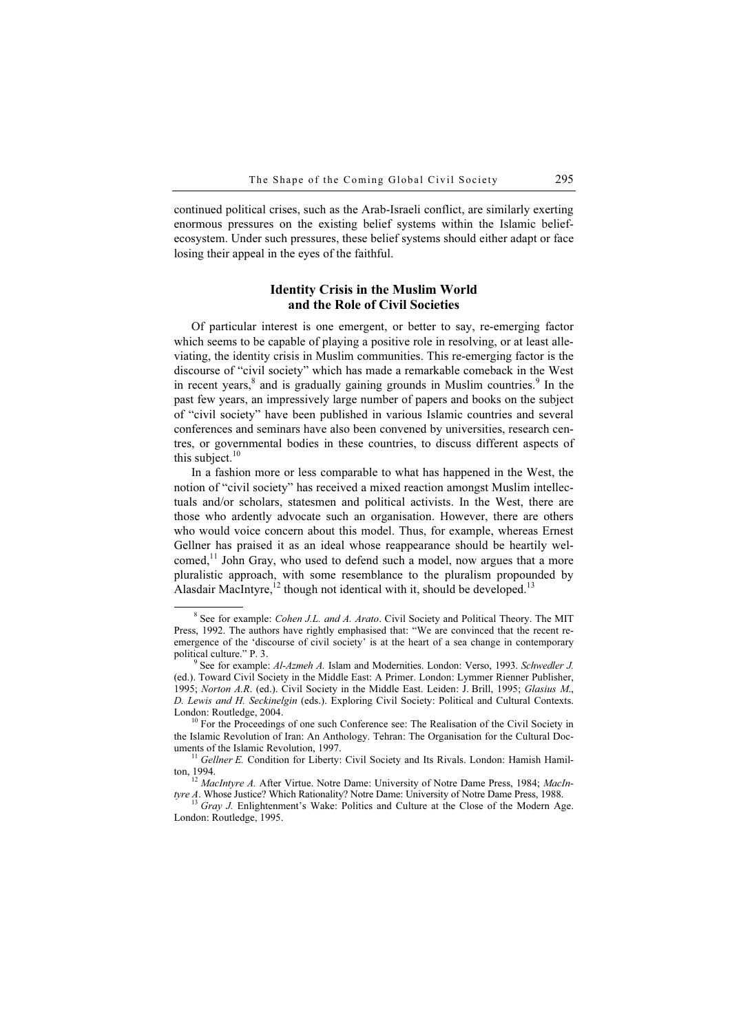continued political crises, such as the Arab-Israeli conflict, are similarly exerting enormous pressures on the existing belief systems within the Islamic beliefecosystem. Under such pressures, these belief systems should either adapt or face losing their appeal in the eyes of the faithful.

## Identity Crisis in the Muslim World and the Role of Civil Societies

Of particular interest is one emergent, or better to say, re-emerging factor which seems to be capable of playing a positive role in resolving, or at least alleviating, the identity crisis in Muslim communities. This re-emerging factor is the discourse of "civil society" which has made a remarkable comeback in the West in recent years, $<sup>8</sup>$  and is gradually gaining grounds in Muslim countries. $<sup>9</sup>$  In the</sup></sup> past few years, an impressively large number of papers and books on the subject of "civil society" have been published in various Islamic countries and several conferences and seminars have also been convened by universities, research centres, or governmental bodies in these countries, to discuss different aspects of this subject. $10$ 

In a fashion more or less comparable to what has happened in the West, the notion of "civil society" has received a mixed reaction amongst Muslim intellectuals and/or scholars, statesmen and political activists. In the West, there are those who ardently advocate such an organisation. However, there are others who would voice concern about this model. Thus, for example, whereas Ernest Gellner has praised it as an ideal whose reappearance should be heartily welcomed,<sup>11</sup> John Gray, who used to defend such a model, now argues that a more pluralistic approach, with some resemblance to the pluralism propounded by Alasdair MacIntyre,<sup>12</sup> though not identical with it, should be developed.<sup>13</sup>

 $\frac{1}{8}$  $8$  See for example: *Cohen J.L. and A. Arato*. Civil Society and Political Theory. The MIT Press, 1992. The authors have rightly emphasised that: "We are convinced that the recent reemergence of the 'discourse of civil society' is at the heart of a sea change in contemporary political culture." P. 3.

See for example: Al-Azmeh A. Islam and Modernities. London: Verso, 1993. Schwedler J. (ed.). Toward Civil Society in the Middle East: A Primer. London: Lymmer Rienner Publisher, 1995; Norton A.R. (ed.). Civil Society in the Middle East. Leiden: J. Brill, 1995; Glasius M., D. Lewis and H. Seckinelgin (eds.). Exploring Civil Society: Political and Cultural Contexts. London: Routledge, 2004.<br><sup>10</sup> For the Proceedings of one such Conference see: The Realisation of the Civil Society in

the Islamic Revolution of Iran: An Anthology. Tehran: The Organisation for the Cultural Doc-

 $11$  Gellner E. Condition for Liberty: Civil Society and Its Rivals. London: Hamish Hamilton, 1994.<br><sup>12</sup> MacIntyre A. After Virtue. Notre Dame: University of Notre Dame Press, 1984; MacIn-

tyre A. Whose Justice? Which Rationality? Notre Dame: University of Notre Dame Press, 1988.<br><sup>13</sup> Gray J. Enlightenment's Wake: Politics and Culture at the Close of the Modern Age.

London: Routledge, 1995.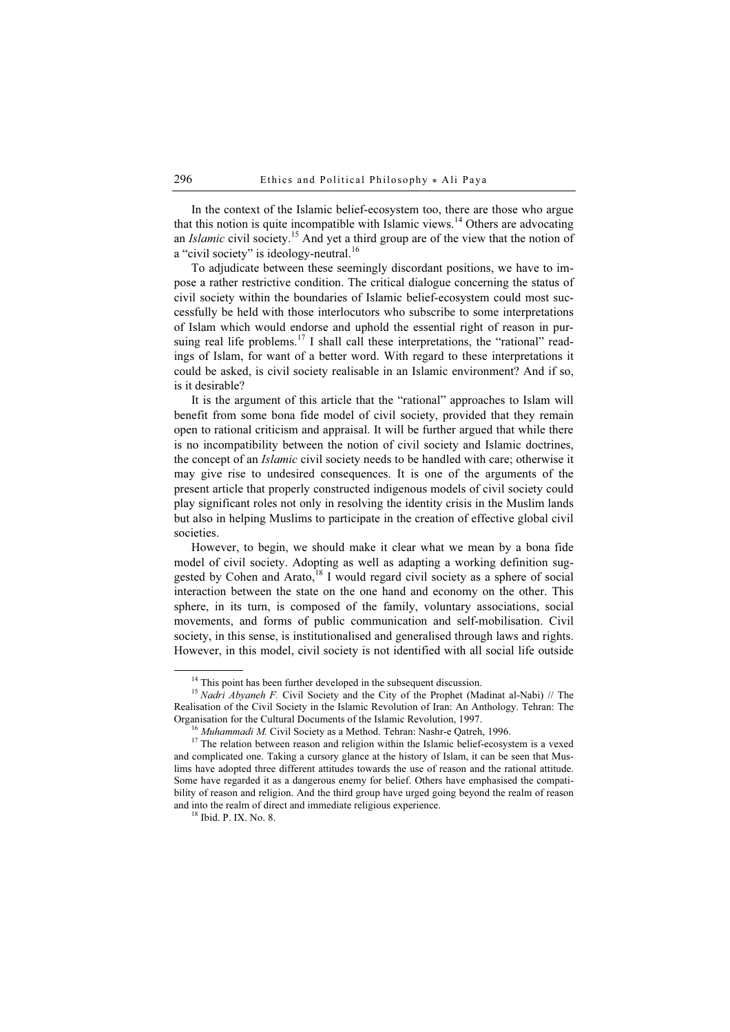In the context of the Islamic belief-ecosystem too, there are those who argue that this notion is quite incompatible with Islamic views.<sup>14</sup> Others are advocating an *Islamic* civil society.<sup>15</sup> And yet a third group are of the view that the notion of a "civil society" is ideology-neutral.<sup>16</sup>

To adjudicate between these seemingly discordant positions, we have to impose a rather restrictive condition. The critical dialogue concerning the status of civil society within the boundaries of Islamic belief-ecosystem could most successfully be held with those interlocutors who subscribe to some interpretations of Islam which would endorse and uphold the essential right of reason in pursuing real life problems.<sup>17</sup> I shall call these interpretations, the "rational" readings of Islam, for want of a better word. With regard to these interpretations it could be asked, is civil society realisable in an Islamic environment? And if so, is it desirable?

It is the argument of this article that the "rational" approaches to Islam will benefit from some bona fide model of civil society, provided that they remain open to rational criticism and appraisal. It will be further argued that while there is no incompatibility between the notion of civil society and Islamic doctrines, the concept of an Islamic civil society needs to be handled with care; otherwise it may give rise to undesired consequences. It is one of the arguments of the present article that properly constructed indigenous models of civil society could play significant roles not only in resolving the identity crisis in the Muslim lands but also in helping Muslims to participate in the creation of effective global civil societies.

However, to begin, we should make it clear what we mean by a bona fide model of civil society. Adopting as well as adapting a working definition suggested by Cohen and Arato,<sup>18</sup> I would regard civil society as a sphere of social interaction between the state on the one hand and economy on the other. This sphere, in its turn, is composed of the family, voluntary associations, social movements, and forms of public communication and self-mobilisation. Civil society, in this sense, is institutionalised and generalised through laws and rights. However, in this model, civil society is not identified with all social life outside

<sup>&</sup>lt;sup>14</sup> This point has been further developed in the subsequent discussion.<br><sup>15</sup> Nadri Abyaneh F. Civil Society and the City of the Prophet (Madinat al-Nabi) // The Realisation of the Civil Society in the Islamic Revolution of Iran: An Anthology. Tehran: The Organisation for the Cultural Documents of the Islamic Revolution, 1997.<br><sup>16</sup> *Muhammadi M*. Civil Society as a Method. Tehran: Nashr-e Qatreh, 1996.<br><sup>17</sup> The relation between reason and religion within the Islamic belief-

and complicated one. Taking a cursory glance at the history of Islam, it can be seen that Muslims have adopted three different attitudes towards the use of reason and the rational attitude. Some have regarded it as a dangerous enemy for belief. Others have emphasised the compatibility of reason and religion. And the third group have urged going beyond the realm of reason and into the realm of direct and immediate religious experience. <sup>18</sup> Ibid. P. IX. No. 8.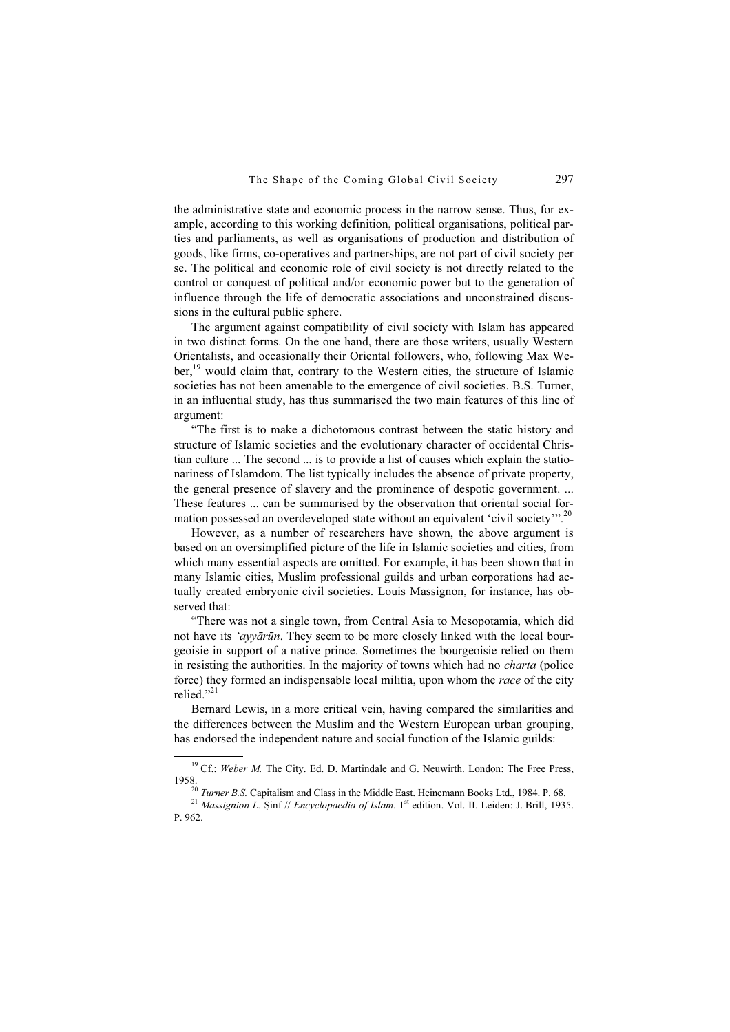the administrative state and economic process in the narrow sense. Thus, for example, according to this working definition, political organisations, political parties and parliaments, as well as organisations of production and distribution of goods, like firms, co-operatives and partnerships, are not part of civil society per se. The political and economic role of civil society is not directly related to the control or conquest of political and/or economic power but to the generation of influence through the life of democratic associations and unconstrained discussions in the cultural public sphere.

The argument against compatibility of civil society with Islam has appeared in two distinct forms. On the one hand, there are those writers, usually Western Orientalists, and occasionally their Oriental followers, who, following Max Weber,<sup>19</sup> would claim that, contrary to the Western cities, the structure of Islamic societies has not been amenable to the emergence of civil societies. B.S. Turner, in an influential study, has thus summarised the two main features of this line of argument:

"The first is to make a dichotomous contrast between the static history and structure of Islamic societies and the evolutionary character of occidental Christian culture ... The second ... is to provide a list of causes which explain the stationariness of Islamdom. The list typically includes the absence of private property, the general presence of slavery and the prominence of despotic government. ... These features ... can be summarised by the observation that oriental social formation possessed an overdeveloped state without an equivalent 'civil society'".<sup>20</sup>

However, as a number of researchers have shown, the above argument is based on an oversimplified picture of the life in Islamic societies and cities, from which many essential aspects are omitted. For example, it has been shown that in many Islamic cities, Muslim professional guilds and urban corporations had actually created embryonic civil societies. Louis Massignon, for instance, has observed that:

"There was not a single town, from Central Asia to Mesopotamia, which did not have its 'ayyarūn. They seem to be more closely linked with the local bourgeoisie in support of a native prince. Sometimes the bourgeoisie relied on them in resisting the authorities. In the majority of towns which had no *charta* (police force) they formed an indispensable local militia, upon whom the race of the city relied $^{1,21}$ 

Bernard Lewis, in a more critical vein, having compared the similarities and the differences between the Muslim and the Western European urban grouping, has endorsed the independent nature and social function of the Islamic guilds:

<sup>&</sup>lt;sup>19</sup> Cf.: Weber M. The City. Ed. D. Martindale and G. Neuwirth. London: The Free Press, 1958.

<sup>&</sup>lt;sup>20</sup> Turner B.S. Capitalism and Class in the Middle East. Heinemann Books Ltd., 1984. P. 68.<br><sup>21</sup> Massignion L. Sinf // Encyclopaedia of Islam. 1<sup>st</sup> edition. Vol. II. Leiden: J. Brill, 1935.

P. 962.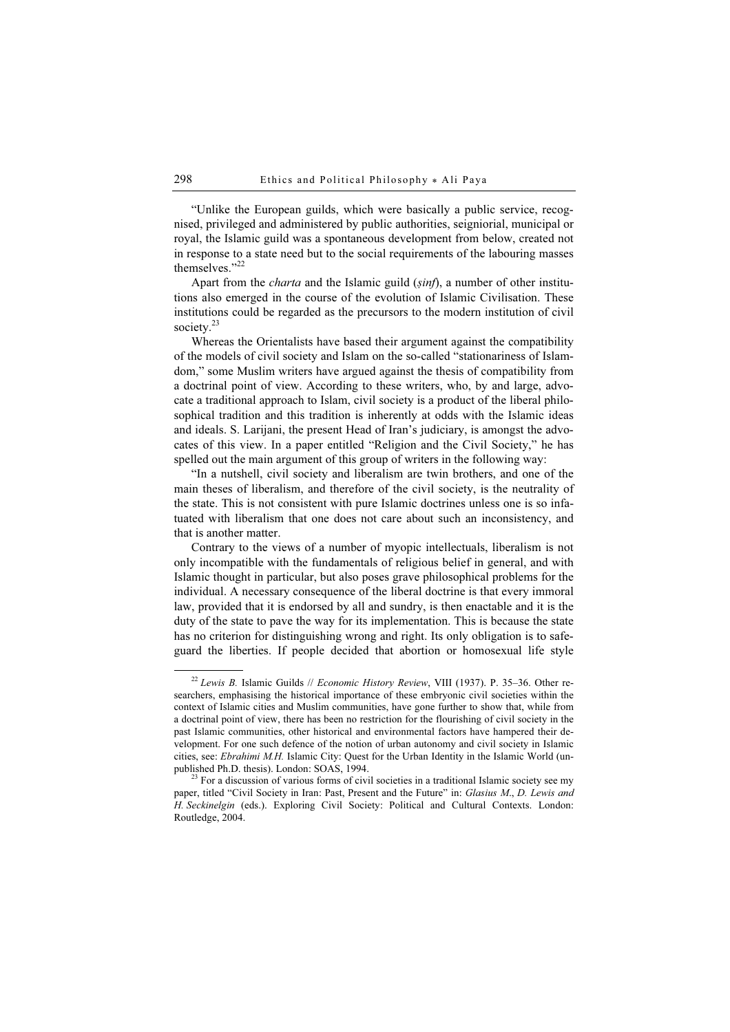"Unlike the European guilds, which were basically a public service, recognised, privileged and administered by public authorities, seigniorial, municipal or royal, the Islamic guild was a spontaneous development from below, created not in response to a state need but to the social requirements of the labouring masses themselves<sup>"22</sup>

Apart from the *charta* and the Islamic guild (sinf), a number of other institutions also emerged in the course of the evolution of Islamic Civilisation. These institutions could be regarded as the precursors to the modern institution of civil society.<sup>23</sup>

Whereas the Orientalists have based their argument against the compatibility of the models of civil society and Islam on the so-called "stationariness of Islamdom," some Muslim writers have argued against the thesis of compatibility from a doctrinal point of view. According to these writers, who, by and large, advocate a traditional approach to Islam, civil society is a product of the liberal philosophical tradition and this tradition is inherently at odds with the Islamic ideas and ideals. S. Larijani, the present Head of Iran's judiciary, is amongst the advocates of this view. In a paper entitled "Religion and the Civil Society," he has spelled out the main argument of this group of writers in the following way:

"In a nutshell, civil society and liberalism are twin brothers, and one of the main theses of liberalism, and therefore of the civil society, is the neutrality of the state. This is not consistent with pure Islamic doctrines unless one is so infatuated with liberalism that one does not care about such an inconsistency, and that is another matter.

Contrary to the views of a number of myopic intellectuals, liberalism is not only incompatible with the fundamentals of religious belief in general, and with Islamic thought in particular, but also poses grave philosophical problems for the individual. A necessary consequence of the liberal doctrine is that every immoral law, provided that it is endorsed by all and sundry, is then enactable and it is the duty of the state to pave the way for its implementation. This is because the state has no criterion for distinguishing wrong and right. Its only obligation is to safeguard the liberties. If people decided that abortion or homosexual life style

 $^{22}$  Lewis B. Islamic Guilds // Economic History Review, VIII (1937). P. 35–36. Other researchers, emphasising the historical importance of these embryonic civil societies within the context of Islamic cities and Muslim communities, have gone further to show that, while from a doctrinal point of view, there has been no restriction for the flourishing of civil society in the past Islamic communities, other historical and environmental factors have hampered their development. For one such defence of the notion of urban autonomy and civil society in Islamic cities, see: Ebrahimi M.H. Islamic City: Quest for the Urban Identity in the Islamic World (unpublished Ph.D. thesis). London: SOAS, 1994.<br><sup>23</sup> For a discussion of various forms of civil societies in a traditional Islamic society see my

paper, titled "Civil Society in Iran: Past, Present and the Future" in: Glasius M., D. Lewis and H. Seckinelgin (eds.). Exploring Civil Society: Political and Cultural Contexts. London: Routledge, 2004.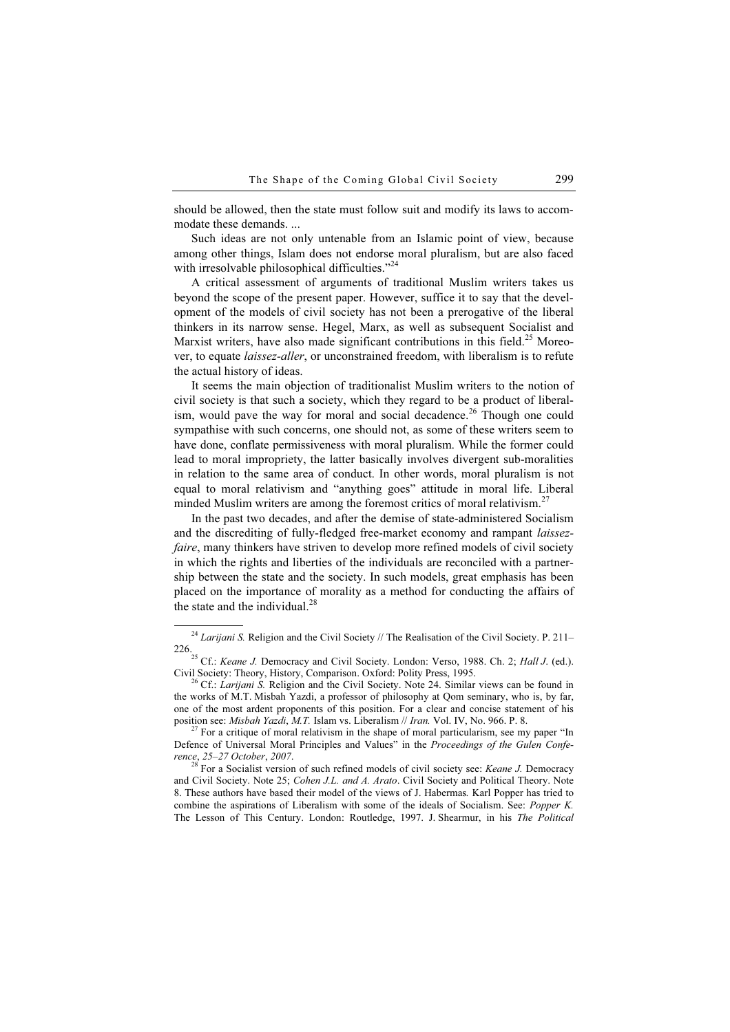should be allowed, then the state must follow suit and modify its laws to accommodate these demands. ...

Such ideas are not only untenable from an Islamic point of view, because among other things, Islam does not endorse moral pluralism, but are also faced with irresolvable philosophical difficulties."<sup>24</sup>

A critical assessment of arguments of traditional Muslim writers takes us beyond the scope of the present paper. However, suffice it to say that the development of the models of civil society has not been a prerogative of the liberal thinkers in its narrow sense. Hegel, Marx, as well as subsequent Socialist and Marxist writers, have also made significant contributions in this field.<sup>25</sup> Moreover, to equate laissez-aller, or unconstrained freedom, with liberalism is to refute the actual history of ideas.

It seems the main objection of traditionalist Muslim writers to the notion of civil society is that such a society, which they regard to be a product of liberalism, would pave the way for moral and social decadence.<sup>26</sup> Though one could sympathise with such concerns, one should not, as some of these writers seem to have done, conflate permissiveness with moral pluralism. While the former could lead to moral impropriety, the latter basically involves divergent sub-moralities in relation to the same area of conduct. In other words, moral pluralism is not equal to moral relativism and "anything goes" attitude in moral life. Liberal minded Muslim writers are among the foremost critics of moral relativism.<sup>27</sup>

In the past two decades, and after the demise of state-administered Socialism and the discrediting of fully-fledged free-market economy and rampant laissezfaire, many thinkers have striven to develop more refined models of civil society in which the rights and liberties of the individuals are reconciled with a partnership between the state and the society. In such models, great emphasis has been placed on the importance of morality as a method for conducting the affairs of the state and the individual. $^{28}$ 

 $28$  For a Socialist version of such refined models of civil society see: Keane J. Democracy and Civil Society. Note 25; Cohen J.L. and A. Arato. Civil Society and Political Theory. Note 8. These authors have based their model of the views of J. Habermas. Karl Popper has tried to combine the aspirations of Liberalism with some of the ideals of Socialism. See: Popper K. The Lesson of This Century. London: Routledge, 1997. J. Shearmur, in his The Political

<sup>&</sup>lt;sup>24</sup> Larijani S. Religion and the Civil Society // The Realisation of the Civil Society. P. 211–

<sup>226. &</sup>lt;sup>25</sup> Cf.: *Keane J.* Democracy and Civil Society. London: Verso, 1988. Ch. 2; *Hall J.* (ed.).

<sup>&</sup>lt;sup>26</sup> Cf.: *Larijani S.* Religion and the Civil Society. Note 24. Similar views can be found in the works of M.T. Misbah Yazdi, a professor of philosophy at Qom seminary, who is, by far, one of the most ardent proponents of this position. For a clear and concise statement of his position see: *Misbah Yazdi*, *M.T.* Islam vs. Liberalism  $// Iran$ . Vol. IV, No. 966. P. 8.

 $27$  For a critique of moral relativism in the shape of moral particularism, see my paper "In Defence of Universal Moral Principles and Values" in the Proceedings of the Gulen Confe-<br>rence, 25-27 October, 2007.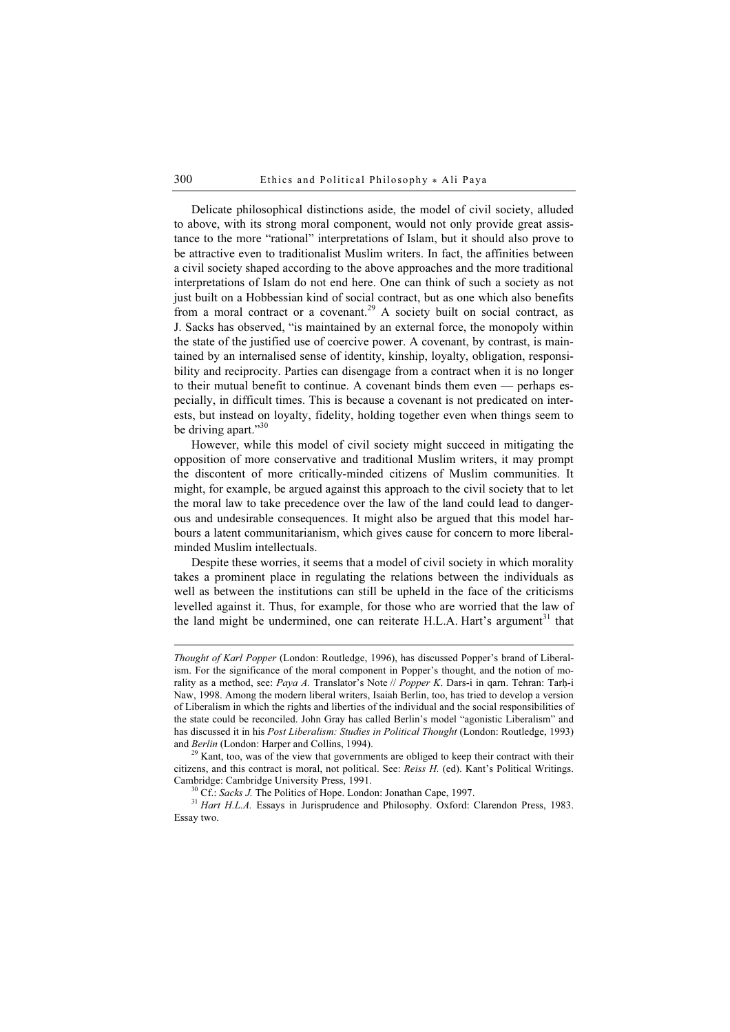Delicate philosophical distinctions aside, the model of civil society, alluded to above, with its strong moral component, would not only provide great assistance to the more "rational" interpretations of Islam, but it should also prove to be attractive even to traditionalist Muslim writers. In fact, the affinities between a civil society shaped according to the above approaches and the more traditional interpretations of Islam do not end here. One can think of such a society as not just built on a Hobbessian kind of social contract, but as one which also benefits from a moral contract or a covenant.<sup>29</sup> A society built on social contract, as J. Sacks has observed, "is maintained by an external force, the monopoly within the state of the justified use of coercive power. A covenant, by contrast, is maintained by an internalised sense of identity, kinship, loyalty, obligation, responsibility and reciprocity. Parties can disengage from a contract when it is no longer to their mutual benefit to continue. A covenant binds them even — perhaps especially, in difficult times. This is because a covenant is not predicated on interests, but instead on loyalty, fidelity, holding together even when things seem to be driving apart."<sup>30</sup>

However, while this model of civil society might succeed in mitigating the opposition of more conservative and traditional Muslim writers, it may prompt the discontent of more critically-minded citizens of Muslim communities. It might, for example, be argued against this approach to the civil society that to let the moral law to take precedence over the law of the land could lead to dangerous and undesirable consequences. It might also be argued that this model harbours a latent communitarianism, which gives cause for concern to more liberalminded Muslim intellectuals.

Despite these worries, it seems that a model of civil society in which morality takes a prominent place in regulating the relations between the individuals as well as between the institutions can still be upheld in the face of the criticisms levelled against it. Thus, for example, for those who are worried that the law of the land might be undermined, one can reiterate H.L.A. Hart's argument $31$  that

citizens, and this contract is moral, not political. See: Reiss H. (ed). Kant's Political Writings. Cambridge: Cambridge University Press, 1991.<br><sup>30</sup> Cf.: Sacks J. The Politics of Hope. London: Jonathan Cape, 1997.<br><sup>31</sup> Hart H.L.A. Essays in Jurisprudence and Philosophy. Oxford: Clarendon Press, 1983.

Essay two.

Thought of Karl Popper (London: Routledge, 1996), has discussed Popper's brand of Liberalism. For the significance of the moral component in Popper's thought, and the notion of morality as a method, see: Paya A. Translator's Note // Popper K. Dars-i in qarn. Tehran: Tarh-i Naw, 1998. Among the modern liberal writers, Isaiah Berlin, too, has tried to develop a version of Liberalism in which the rights and liberties of the individual and the social responsibilities of the state could be reconciled. John Gray has called Berlin's model "agonistic Liberalism" and has discussed it in his Post Liberalism: Studies in Political Thought (London: Routledge, 1993) and *Berlin* (London: Harper and Collins, 1994).<br><sup>29</sup> Kant, too, was of the view that governments are obliged to keep their contract with their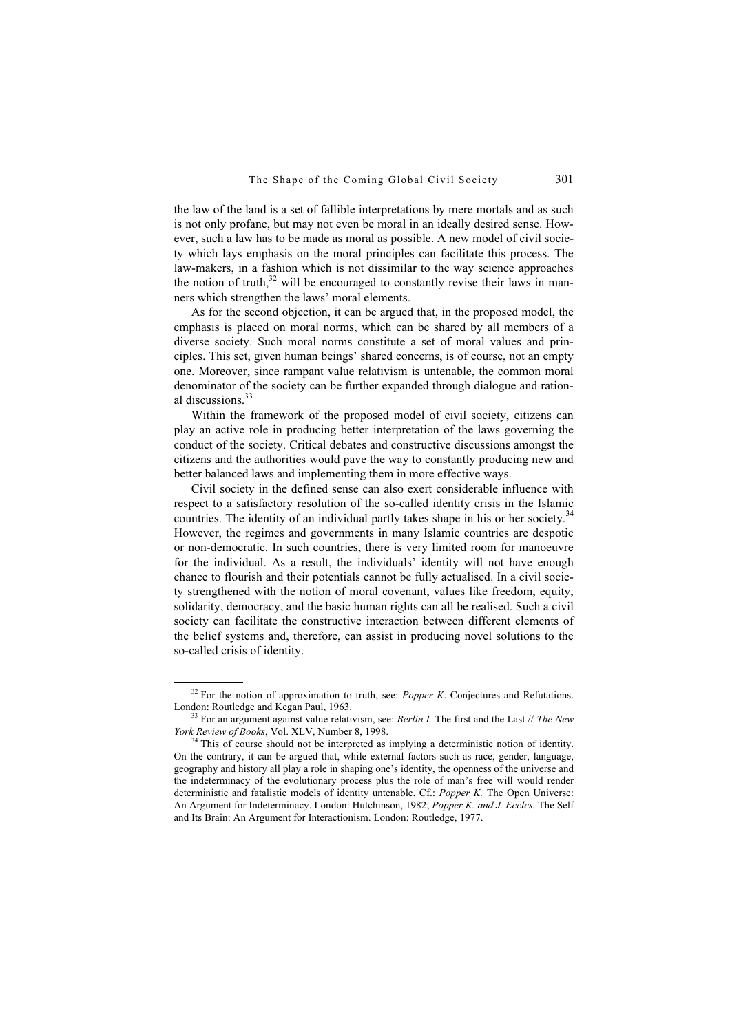the law of the land is a set of fallible interpretations by mere mortals and as such is not only profane, but may not even be moral in an ideally desired sense. However, such a law has to be made as moral as possible. A new model of civil society which lays emphasis on the moral principles can facilitate this process. The law-makers, in a fashion which is not dissimilar to the way science approaches the notion of truth, $32$  will be encouraged to constantly revise their laws in manners which strengthen the laws' moral elements.

As for the second objection, it can be argued that, in the proposed model, the emphasis is placed on moral norms, which can be shared by all members of a diverse society. Such moral norms constitute a set of moral values and principles. This set, given human beings' shared concerns, is of course, not an empty one. Moreover, since rampant value relativism is untenable, the common moral denominator of the society can be further expanded through dialogue and rational discussions.<sup>33</sup>

Within the framework of the proposed model of civil society, citizens can play an active role in producing better interpretation of the laws governing the conduct of the society. Critical debates and constructive discussions amongst the citizens and the authorities would pave the way to constantly producing new and better balanced laws and implementing them in more effective ways.

Civil society in the defined sense can also exert considerable influence with respect to a satisfactory resolution of the so-called identity crisis in the Islamic countries. The identity of an individual partly takes shape in his or her society.<sup>34</sup> However, the regimes and governments in many Islamic countries are despotic or non-democratic. In such countries, there is very limited room for manoeuvre for the individual. As a result, the individuals' identity will not have enough chance to flourish and their potentials cannot be fully actualised. In a civil society strengthened with the notion of moral covenant, values like freedom, equity, solidarity, democracy, and the basic human rights can all be realised. Such a civil society can facilitate the constructive interaction between different elements of the belief systems and, therefore, can assist in producing novel solutions to the so-called crisis of identity.

 $32$  For the notion of approximation to truth, see: *Popper K*. Conjectures and Refutations.

London: Routledge and Kegan Paul, 1963.<br><sup>33</sup> For an argument against value relativism, see: *Berlin I*. The first and the Last // *The New York Review of Books*, Vol. XLV, Number 8, 1998.

 $34$  This of course should not be interpreted as implying a deterministic notion of identity. On the contrary, it can be argued that, while external factors such as race, gender, language, geography and history all play a role in shaping one's identity, the openness of the universe and the indeterminacy of the evolutionary process plus the role of man's free will would render deterministic and fatalistic models of identity untenable. Cf.: Popper K. The Open Universe: An Argument for Indeterminacy. London: Hutchinson, 1982; Popper K. and J. Eccles. The Self and Its Brain: An Argument for Interactionism. London: Routledge, 1977.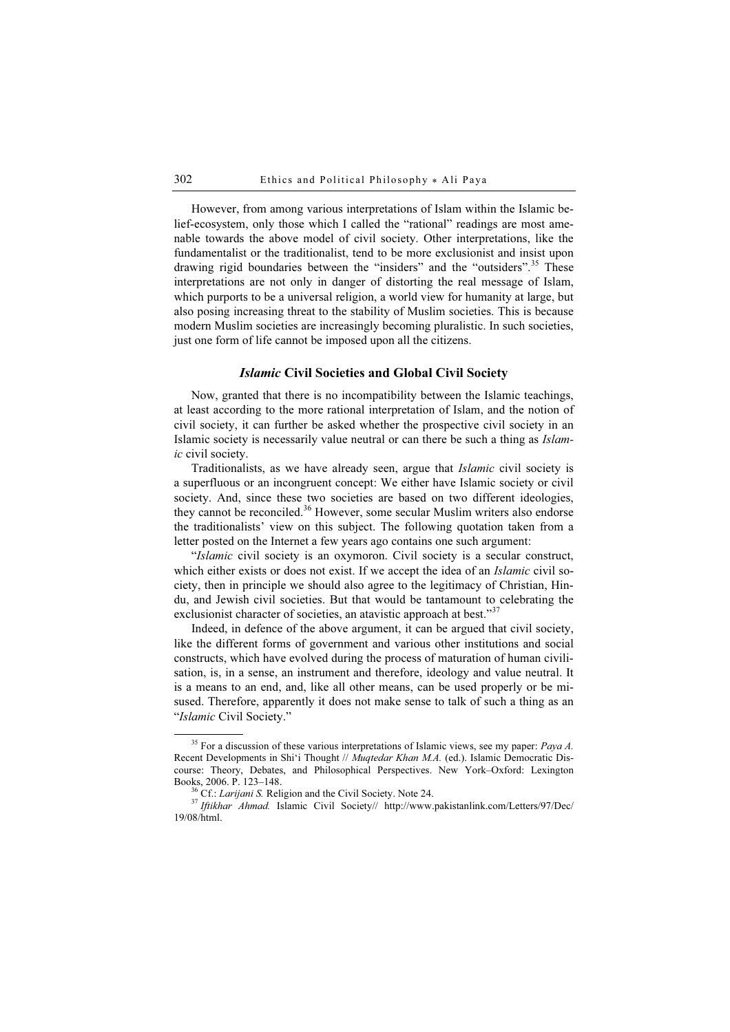However, from among various interpretations of Islam within the Islamic belief-ecosystem, only those which I called the "rational" readings are most amenable towards the above model of civil society. Other interpretations, like the fundamentalist or the traditionalist, tend to be more exclusionist and insist upon drawing rigid boundaries between the "insiders" and the "outsiders".<sup>35</sup> These interpretations are not only in danger of distorting the real message of Islam, which purports to be a universal religion, a world view for humanity at large, but also posing increasing threat to the stability of Muslim societies. This is because modern Muslim societies are increasingly becoming pluralistic. In such societies, just one form of life cannot be imposed upon all the citizens.

#### Islamic Civil Societies and Global Civil Society

Now, granted that there is no incompatibility between the Islamic teachings, at least according to the more rational interpretation of Islam, and the notion of civil society, it can further be asked whether the prospective civil society in an Islamic society is necessarily value neutral or can there be such a thing as Islamic civil society.

Traditionalists, as we have already seen, argue that Islamic civil society is a superfluous or an incongruent concept: We either have Islamic society or civil society. And, since these two societies are based on two different ideologies, they cannot be reconciled.<sup>36</sup> However, some secular Muslim writers also endorse the traditionalists' view on this subject. The following quotation taken from a letter posted on the Internet a few years ago contains one such argument:

"Islamic civil society is an oxymoron. Civil society is a secular construct, which either exists or does not exist. If we accept the idea of an Islamic civil society, then in principle we should also agree to the legitimacy of Christian, Hindu, and Jewish civil societies. But that would be tantamount to celebrating the exclusionist character of societies, an atavistic approach at best."<sup>37</sup>

Indeed, in defence of the above argument, it can be argued that civil society, like the different forms of government and various other institutions and social constructs, which have evolved during the process of maturation of human civilisation, is, in a sense, an instrument and therefore, ideology and value neutral. It is a means to an end, and, like all other means, can be used properly or be misused. Therefore, apparently it does not make sense to talk of such a thing as an "Islamic Civil Society."

 $35$  For a discussion of these various interpretations of Islamic views, see my paper: Paya A. Recent Developments in Shi'i Thought // *Muqtedar Khan M.A.* (ed.). Islamic Democratic Discourse: Theory, Debates, and Philosophical Perspectives. New York–Oxford: Lexington

<sup>&</sup>lt;sup>36</sup> Cf.: *Larijani S.* Religion and the Civil Society. Note 24.  $\frac{37}{1}$  Iftikhar Ahmad. Islamic Civil Society. http://www.pakistanlink.com/Letters/97/Dec/ 19/08/html.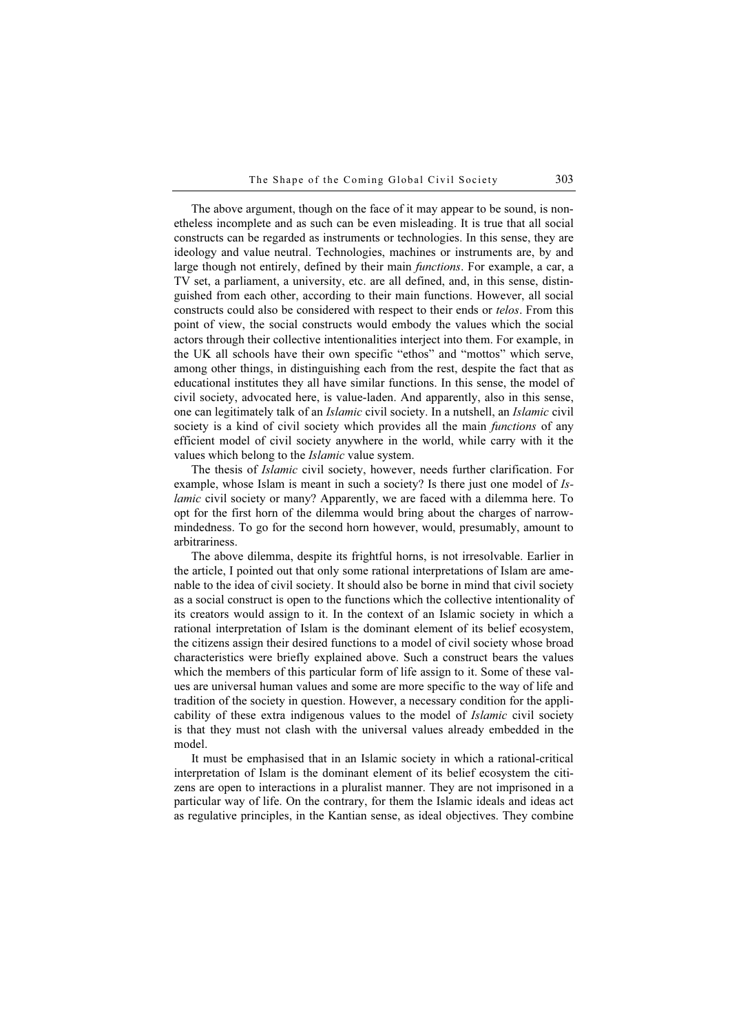The above argument, though on the face of it may appear to be sound, is nonetheless incomplete and as such can be even misleading. It is true that all social constructs can be regarded as instruments or technologies. In this sense, they are ideology and value neutral. Technologies, machines or instruments are, by and large though not entirely, defined by their main functions. For example, a car, a TV set, a parliament, a university, etc. are all defined, and, in this sense, distinguished from each other, according to their main functions. However, all social constructs could also be considered with respect to their ends or telos. From this point of view, the social constructs would embody the values which the social actors through their collective intentionalities interject into them. For example, in the UK all schools have their own specific "ethos" and "mottos" which serve, among other things, in distinguishing each from the rest, despite the fact that as educational institutes they all have similar functions. In this sense, the model of civil society, advocated here, is value-laden. And apparently, also in this sense, one can legitimately talk of an Islamic civil society. In a nutshell, an Islamic civil society is a kind of civil society which provides all the main *functions* of any efficient model of civil society anywhere in the world, while carry with it the values which belong to the Islamic value system.

The thesis of Islamic civil society, however, needs further clarification. For example, whose Islam is meant in such a society? Is there just one model of Islamic civil society or many? Apparently, we are faced with a dilemma here. To opt for the first horn of the dilemma would bring about the charges of narrowmindedness. To go for the second horn however, would, presumably, amount to arbitrariness.

The above dilemma, despite its frightful horns, is not irresolvable. Earlier in the article, I pointed out that only some rational interpretations of Islam are amenable to the idea of civil society. It should also be borne in mind that civil society as a social construct is open to the functions which the collective intentionality of its creators would assign to it. In the context of an Islamic society in which a rational interpretation of Islam is the dominant element of its belief ecosystem, the citizens assign their desired functions to a model of civil society whose broad characteristics were briefly explained above. Such a construct bears the values which the members of this particular form of life assign to it. Some of these values are universal human values and some are more specific to the way of life and tradition of the society in question. However, a necessary condition for the applicability of these extra indigenous values to the model of Islamic civil society is that they must not clash with the universal values already embedded in the model.

It must be emphasised that in an Islamic society in which a rational-critical interpretation of Islam is the dominant element of its belief ecosystem the citizens are open to interactions in a pluralist manner. They are not imprisoned in a particular way of life. On the contrary, for them the Islamic ideals and ideas act as regulative principles, in the Kantian sense, as ideal objectives. They combine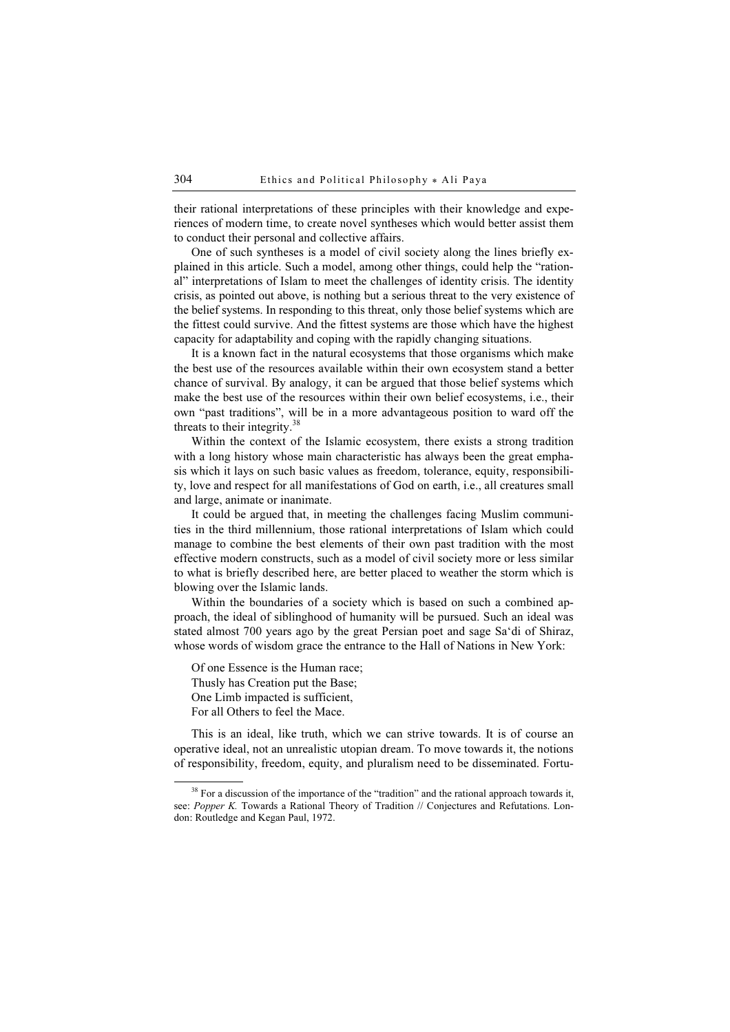their rational interpretations of these principles with their knowledge and experiences of modern time, to create novel syntheses which would better assist them to conduct their personal and collective affairs.

One of such syntheses is a model of civil society along the lines briefly explained in this article. Such a model, among other things, could help the "rational" interpretations of Islam to meet the challenges of identity crisis. The identity crisis, as pointed out above, is nothing but a serious threat to the very existence of the belief systems. In responding to this threat, only those belief systems which are the fittest could survive. And the fittest systems are those which have the highest capacity for adaptability and coping with the rapidly changing situations.

It is a known fact in the natural ecosystems that those organisms which make the best use of the resources available within their own ecosystem stand a better chance of survival. By analogy, it can be argued that those belief systems which make the best use of the resources within their own belief ecosystems, i.e., their own "past traditions", will be in a more advantageous position to ward off the threats to their integrity. $38$ 

Within the context of the Islamic ecosystem, there exists a strong tradition with a long history whose main characteristic has always been the great emphasis which it lays on such basic values as freedom, tolerance, equity, responsibility, love and respect for all manifestations of God on earth, i.e., all creatures small and large, animate or inanimate.

It could be argued that, in meeting the challenges facing Muslim communities in the third millennium, those rational interpretations of Islam which could manage to combine the best elements of their own past tradition with the most effective modern constructs, such as a model of civil society more or less similar to what is briefly described here, are better placed to weather the storm which is blowing over the Islamic lands.

Within the boundaries of a society which is based on such a combined approach, the ideal of siblinghood of humanity will be pursued. Such an ideal was stated almost 700 years ago by the great Persian poet and sage Saʻdi of Shiraz, whose words of wisdom grace the entrance to the Hall of Nations in New York:

Of one Essence is the Human race; Thusly has Creation put the Base; One Limb impacted is sufficient, For all Others to feel the Mace.

This is an ideal, like truth, which we can strive towards. It is of course an operative ideal, not an unrealistic utopian dream. To move towards it, the notions of responsibility, freedom, equity, and pluralism need to be disseminated. Fortu-

 $38$  For a discussion of the importance of the "tradition" and the rational approach towards it, see: Popper K. Towards a Rational Theory of Tradition // Conjectures and Refutations. London: Routledge and Kegan Paul, 1972.